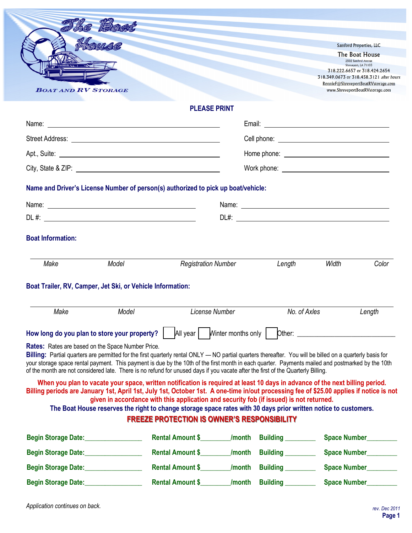|                                                                                                                                                                                                                                                                                                                                                                                                                                                    |                                                                                          | Samford Properties, LLC                                                                                                                                        |
|----------------------------------------------------------------------------------------------------------------------------------------------------------------------------------------------------------------------------------------------------------------------------------------------------------------------------------------------------------------------------------------------------------------------------------------------------|------------------------------------------------------------------------------------------|----------------------------------------------------------------------------------------------------------------------------------------------------------------|
|                                                                                                                                                                                                                                                                                                                                                                                                                                                    |                                                                                          | The Boat House                                                                                                                                                 |
|                                                                                                                                                                                                                                                                                                                                                                                                                                                    |                                                                                          | 2502 Samford Avenue<br>Shreveport, LA 71103<br>318.222.6657 or 318.424.2654<br>318.349.0673 or 318.458.3121 after hours<br>RonnieF@ShreveportBoatRVstorage.com |
|                                                                                                                                                                                                                                                                                                                                                                                                                                                    |                                                                                          | www.ShreveportBoatRVstorage.com                                                                                                                                |
| <b>PLEASE PRINT</b>                                                                                                                                                                                                                                                                                                                                                                                                                                |                                                                                          |                                                                                                                                                                |
|                                                                                                                                                                                                                                                                                                                                                                                                                                                    |                                                                                          |                                                                                                                                                                |
|                                                                                                                                                                                                                                                                                                                                                                                                                                                    |                                                                                          |                                                                                                                                                                |
|                                                                                                                                                                                                                                                                                                                                                                                                                                                    |                                                                                          |                                                                                                                                                                |
|                                                                                                                                                                                                                                                                                                                                                                                                                                                    |                                                                                          |                                                                                                                                                                |
|                                                                                                                                                                                                                                                                                                                                                                                                                                                    |                                                                                          |                                                                                                                                                                |
|                                                                                                                                                                                                                                                                                                                                                                                                                                                    |                                                                                          |                                                                                                                                                                |
|                                                                                                                                                                                                                                                                                                                                                                                                                                                    |                                                                                          |                                                                                                                                                                |
|                                                                                                                                                                                                                                                                                                                                                                                                                                                    |                                                                                          |                                                                                                                                                                |
|                                                                                                                                                                                                                                                                                                                                                                                                                                                    |                                                                                          |                                                                                                                                                                |
|                                                                                                                                                                                                                                                                                                                                                                                                                                                    |                                                                                          | Width<br>Color                                                                                                                                                 |
|                                                                                                                                                                                                                                                                                                                                                                                                                                                    |                                                                                          |                                                                                                                                                                |
|                                                                                                                                                                                                                                                                                                                                                                                                                                                    | No. of Axles                                                                             |                                                                                                                                                                |
| <b>License Number</b>                                                                                                                                                                                                                                                                                                                                                                                                                              |                                                                                          | Length                                                                                                                                                         |
|                                                                                                                                                                                                                                                                                                                                                                                                                                                    |                                                                                          |                                                                                                                                                                |
| How long do you plan to store your property?                                                                                                                                                                                                                                                                                                                                                                                                       |                                                                                          |                                                                                                                                                                |
| Rates: Rates are based on the Space Number Price.                                                                                                                                                                                                                                                                                                                                                                                                  |                                                                                          |                                                                                                                                                                |
| Billing: Partial quarters are permitted for the first quarterly rental ONLY - NO partial quarters thereafter. You will be billed on a quarterly basis for<br>your storage space rental payment. This payment is due by the 10th of the first month in each quarter. Payments mailed and postmarked by the 10th<br>of the month are not considered late. There is no refund for unused days if you vacate after the first of the Quarterly Billing. |                                                                                          |                                                                                                                                                                |
| When you plan to vacate your space, written notification is required at least 10 days in advance of the next billing period.<br>Billing periods are January 1st, April 1st, July 1st, October 1st. A one-time in/out processing fee of \$25.00 applies if notice is not                                                                                                                                                                            |                                                                                          |                                                                                                                                                                |
| given in accordance with this application and security fob (if issued) is not returned.                                                                                                                                                                                                                                                                                                                                                            |                                                                                          |                                                                                                                                                                |
| The Boat House reserves the right to change storage space rates with 30 days prior written notice to customers.<br><b>FREEZE PROTECTION IS OWNER'S RESPONSIBILITY</b>                                                                                                                                                                                                                                                                              |                                                                                          |                                                                                                                                                                |
| Rental Amount \$__________/month Building _________                                                                                                                                                                                                                                                                                                                                                                                                |                                                                                          |                                                                                                                                                                |
| Rental Amount \$___________/month Building _________                                                                                                                                                                                                                                                                                                                                                                                               |                                                                                          | Space Number<br>Space Number                                                                                                                                   |
| Rental Amount \$__________/month Building _________                                                                                                                                                                                                                                                                                                                                                                                                |                                                                                          | Space Number                                                                                                                                                   |
|                                                                                                                                                                                                                                                                                                                                                                                                                                                    | <b>Registration Number</b><br>Boat Trailer, RV, Camper, Jet Ski, or Vehicle Information: | Name and Driver's License Number of person(s) authorized to pick up boat/vehicle:<br>Length                                                                    |